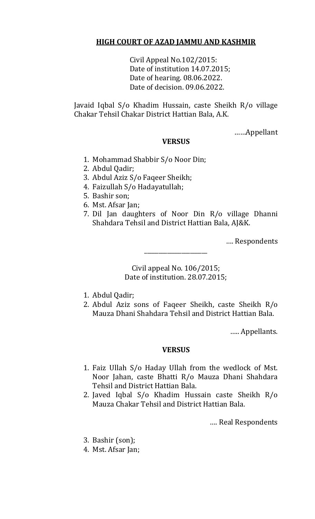# **HIGH COURT OF AZAD JAMMU AND KASHMIR**

Civil Appeal No.102/2015: Date of institution 14.07.2015; Date of hearing. 08.06.2022. Date of decision. 09.06.2022.

Javaid Iqbal S/o Khadim Hussain, caste Sheikh R/o village Chakar Tehsil Chakar District Hattian Bala, A.K.

……Appellant

## **VERSUS**

- 1. Mohammad Shabbir S/o Noor Din;
- 2. Abdul Qadir;
- 3. Abdul Aziz S/o Faqeer Sheikh;
- 4. Faizullah S/o Hadayatullah;
- 5. Bashir son;
- 6. Mst. Afsar Jan;
- 7. Dil Jan daughters of Noor Din R/o village Dhanni Shahdara Tehsil and District Hattian Bala, AJ&K.

…. Respondents

Civil appeal No. 106/2015; Date of institution. 28.07.2015;

\_\_\_\_\_\_\_\_\_\_\_\_\_\_\_\_\_\_\_\_\_\_

- 1. Abdul Qadir;
- 2. Abdul Aziz sons of Faqeer Sheikh, caste Sheikh R/o Mauza Dhani Shahdara Tehsil and District Hattian Bala.

….. Appellants.

#### **VERSUS**

- 1. Faiz Ullah S/o Haday Ullah from the wedlock of Mst. Noor Jahan, caste Bhatti R/o Mauza Dhani Shahdara Tehsil and District Hattian Bala.
- 2. Javed Iqbal S/o Khadim Hussain caste Sheikh R/o Mauza Chakar Tehsil and District Hattian Bala.

…. Real Respondents

- 3. Bashir (son);
- 4. Mst. Afsar Jan;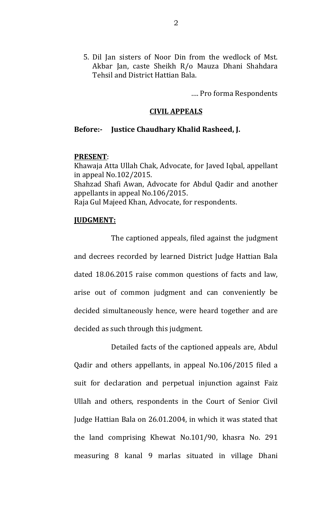5. Dil Jan sisters of Noor Din from the wedlock of Mst. Akbar Jan, caste Sheikh R/o Mauza Dhani Shahdara Tehsil and District Hattian Bala.

…. Pro forma Respondents

## **CIVIL APPEALS**

#### **Before:- Justice Chaudhary Khalid Rasheed, J.**

#### **PRESENT**:

Khawaja Atta Ullah Chak, Advocate, for Javed Iqbal, appellant in appeal No.102/2015. Shahzad Shafi Awan, Advocate for Abdul Qadir and another appellants in appeal No.106/2015. Raja Gul Majeed Khan, Advocate, for respondents.

## **JUDGMENT:**

The captioned appeals, filed against the judgment and decrees recorded by learned District Judge Hattian Bala dated 18.06.2015 raise common questions of facts and law, arise out of common judgment and can conveniently be decided simultaneously hence, were heard together and are decided as such through this judgment.

Detailed facts of the captioned appeals are, Abdul Qadir and others appellants, in appeal No.106/2015 filed a suit for declaration and perpetual injunction against Faiz Ullah and others, respondents in the Court of Senior Civil Judge Hattian Bala on 26.01.2004, in which it was stated that the land comprising Khewat No.101/90, khasra No. 291 measuring 8 kanal 9 marlas situated in village Dhani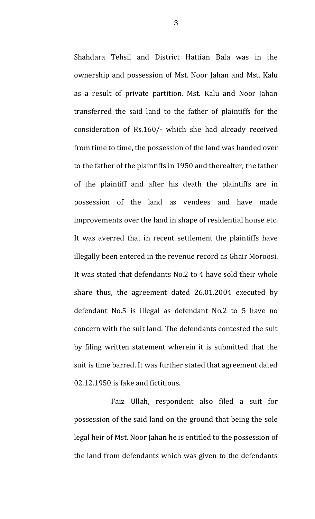Shahdara Tehsil and District Hattian Bala was in the ownership and possession of Mst. Noor Jahan and Mst. Kalu as a result of private partition. Mst. Kalu and Noor Jahan transferred the said land to the father of plaintiffs for the consideration of Rs.160/- which she had already received from time to time, the possession of the land was handed over to the father of the plaintiffs in 1950 and thereafter, the father of the plaintiff and after his death the plaintiffs are in possession of the land as vendees and have made improvements over the land in shape of residential house etc. It was averred that in recent settlement the plaintiffs have illegally been entered in the revenue record as Ghair Moroosi. It was stated that defendants No.2 to 4 have sold their whole share thus, the agreement dated 26.01.2004 executed by defendant No.5 is illegal as defendant No.2 to 5 have no concern with the suit land. The defendants contested the suit by filing written statement wherein it is submitted that the suit is time barred. It was further stated that agreement dated 02.12.1950 is fake and fictitious.

Faiz Ullah, respondent also filed a suit for possession of the said land on the ground that being the sole legal heir of Mst. Noor Jahan he is entitled to the possession of the land from defendants which was given to the defendants

3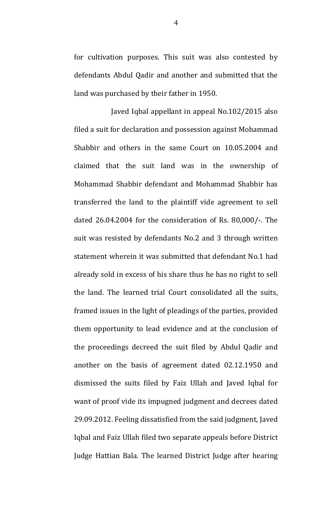for cultivation purposes. This suit was also contested by defendants Abdul Qadir and another and submitted that the land was purchased by their father in 1950.

Javed Iqbal appellant in appeal No.102/2015 also filed a suit for declaration and possession against Mohammad Shabbir and others in the same Court on 10.05.2004 and claimed that the suit land was in the ownership of Mohammad Shabbir defendant and Mohammad Shabbir has transferred the land to the plaintiff vide agreement to sell dated 26.04.2004 for the consideration of Rs. 80,000/-. The suit was resisted by defendants No.2 and 3 through written statement wherein it was submitted that defendant No.1 had already sold in excess of his share thus he has no right to sell the land. The learned trial Court consolidated all the suits, framed issues in the light of pleadings of the parties, provided them opportunity to lead evidence and at the conclusion of the proceedings decreed the suit filed by Abdul Qadir and another on the basis of agreement dated 02.12.1950 and dismissed the suits filed by Faiz Ullah and Javed Iqbal for want of proof vide its impugned judgment and decrees dated 29.09.2012. Feeling dissatisfied from the said judgment, Javed Iqbal and Faiz Ullah filed two separate appeals before District Judge Hattian Bala. The learned District Judge after hearing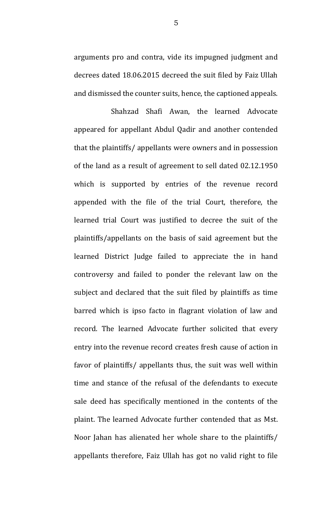arguments pro and contra, vide its impugned judgment and decrees dated 18.06.2015 decreed the suit filed by Faiz Ullah and dismissed the counter suits, hence, the captioned appeals.

Shahzad Shafi Awan, the learned Advocate appeared for appellant Abdul Qadir and another contended that the plaintiffs/ appellants were owners and in possession of the land as a result of agreement to sell dated 02.12.1950 which is supported by entries of the revenue record appended with the file of the trial Court, therefore, the learned trial Court was justified to decree the suit of the plaintiffs/appellants on the basis of said agreement but the learned District Judge failed to appreciate the in hand controversy and failed to ponder the relevant law on the subject and declared that the suit filed by plaintiffs as time barred which is ipso facto in flagrant violation of law and record. The learned Advocate further solicited that every entry into the revenue record creates fresh cause of action in favor of plaintiffs/ appellants thus, the suit was well within time and stance of the refusal of the defendants to execute sale deed has specifically mentioned in the contents of the plaint. The learned Advocate further contended that as Mst. Noor Jahan has alienated her whole share to the plaintiffs/ appellants therefore, Faiz Ullah has got no valid right to file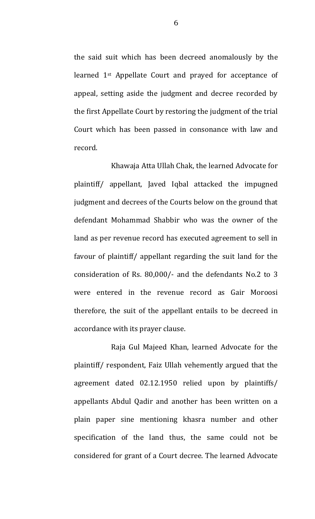the said suit which has been decreed anomalously by the learned 1st Appellate Court and prayed for acceptance of appeal, setting aside the judgment and decree recorded by the first Appellate Court by restoring the judgment of the trial Court which has been passed in consonance with law and record.

Khawaja Atta Ullah Chak, the learned Advocate for plaintiff/ appellant, Javed Iqbal attacked the impugned judgment and decrees of the Courts below on the ground that defendant Mohammad Shabbir who was the owner of the land as per revenue record has executed agreement to sell in favour of plaintiff/ appellant regarding the suit land for the consideration of Rs. 80,000/- and the defendants No.2 to 3 were entered in the revenue record as Gair Moroosi therefore, the suit of the appellant entails to be decreed in accordance with its prayer clause.

Raja Gul Majeed Khan, learned Advocate for the plaintiff/ respondent, Faiz Ullah vehemently argued that the agreement dated 02.12.1950 relied upon by plaintiffs/ appellants Abdul Qadir and another has been written on a plain paper sine mentioning khasra number and other specification of the land thus, the same could not be considered for grant of a Court decree. The learned Advocate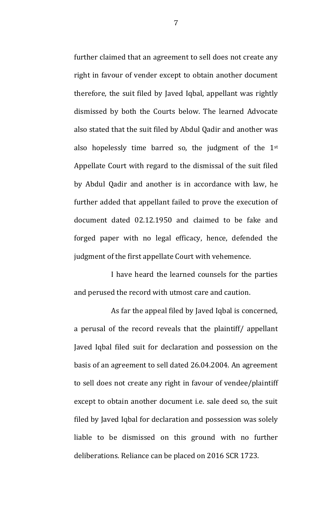further claimed that an agreement to sell does not create any right in favour of vender except to obtain another document therefore, the suit filed by Javed Iqbal, appellant was rightly dismissed by both the Courts below. The learned Advocate also stated that the suit filed by Abdul Qadir and another was also hopelessly time barred so, the judgment of the 1st Appellate Court with regard to the dismissal of the suit filed by Abdul Qadir and another is in accordance with law, he further added that appellant failed to prove the execution of document dated 02.12.1950 and claimed to be fake and forged paper with no legal efficacy, hence, defended the judgment of the first appellate Court with vehemence.

I have heard the learned counsels for the parties and perused the record with utmost care and caution.

As far the appeal filed by Javed Iqbal is concerned, a perusal of the record reveals that the plaintiff/ appellant Javed Iqbal filed suit for declaration and possession on the basis of an agreement to sell dated 26.04.2004. An agreement to sell does not create any right in favour of vendee/plaintiff except to obtain another document i.e. sale deed so, the suit filed by Javed Iqbal for declaration and possession was solely liable to be dismissed on this ground with no further deliberations. Reliance can be placed on 2016 SCR 1723.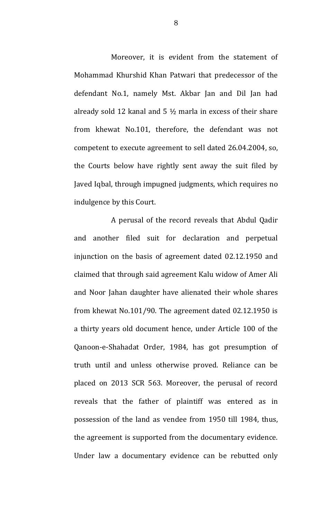Moreover, it is evident from the statement of Mohammad Khurshid Khan Patwari that predecessor of the defendant No.1, namely Mst. Akbar Jan and Dil Jan had already sold 12 kanal and 5  $\frac{1}{2}$  marla in excess of their share from khewat No.101, therefore, the defendant was not competent to execute agreement to sell dated 26.04.2004, so, the Courts below have rightly sent away the suit filed by Javed Iqbal, through impugned judgments, which requires no indulgence by this Court.

A perusal of the record reveals that Abdul Qadir and another filed suit for declaration and perpetual injunction on the basis of agreement dated 02.12.1950 and claimed that through said agreement Kalu widow of Amer Ali and Noor Jahan daughter have alienated their whole shares from khewat No.101/90. The agreement dated 02.12.1950 is a thirty years old document hence, under Article 100 of the Qanoon-e-Shahadat Order, 1984, has got presumption of truth until and unless otherwise proved. Reliance can be placed on 2013 SCR 563. Moreover, the perusal of record reveals that the father of plaintiff was entered as in possession of the land as vendee from 1950 till 1984, thus, the agreement is supported from the documentary evidence. Under law a documentary evidence can be rebutted only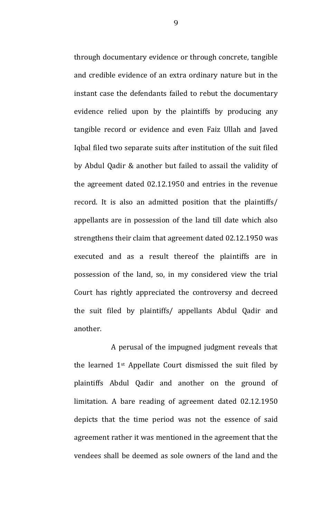through documentary evidence or through concrete, tangible and credible evidence of an extra ordinary nature but in the instant case the defendants failed to rebut the documentary evidence relied upon by the plaintiffs by producing any tangible record or evidence and even Faiz Ullah and Javed Iqbal filed two separate suits after institution of the suit filed by Abdul Qadir & another but failed to assail the validity of the agreement dated 02.12.1950 and entries in the revenue record. It is also an admitted position that the plaintiffs/ appellants are in possession of the land till date which also strengthens their claim that agreement dated 02.12.1950 was executed and as a result thereof the plaintiffs are in possession of the land, so, in my considered view the trial Court has rightly appreciated the controversy and decreed the suit filed by plaintiffs/ appellants Abdul Qadir and another.

A perusal of the impugned judgment reveals that the learned 1st Appellate Court dismissed the suit filed by plaintiffs Abdul Qadir and another on the ground of limitation. A bare reading of agreement dated 02.12.1950 depicts that the time period was not the essence of said agreement rather it was mentioned in the agreement that the vendees shall be deemed as sole owners of the land and the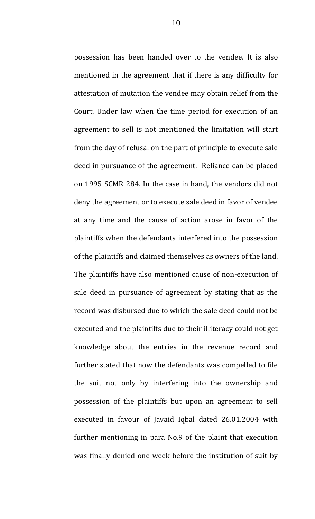possession has been handed over to the vendee. It is also mentioned in the agreement that if there is any difficulty for attestation of mutation the vendee may obtain relief from the Court. Under law when the time period for execution of an agreement to sell is not mentioned the limitation will start from the day of refusal on the part of principle to execute sale deed in pursuance of the agreement. Reliance can be placed on 1995 SCMR 284. In the case in hand, the vendors did not deny the agreement or to execute sale deed in favor of vendee at any time and the cause of action arose in favor of the plaintiffs when the defendants interfered into the possession of the plaintiffs and claimed themselves as owners of the land. The plaintiffs have also mentioned cause of non-execution of sale deed in pursuance of agreement by stating that as the record was disbursed due to which the sale deed could not be executed and the plaintiffs due to their illiteracy could not get knowledge about the entries in the revenue record and further stated that now the defendants was compelled to file the suit not only by interfering into the ownership and possession of the plaintiffs but upon an agreement to sell executed in favour of Javaid Iqbal dated 26.01.2004 with further mentioning in para No.9 of the plaint that execution was finally denied one week before the institution of suit by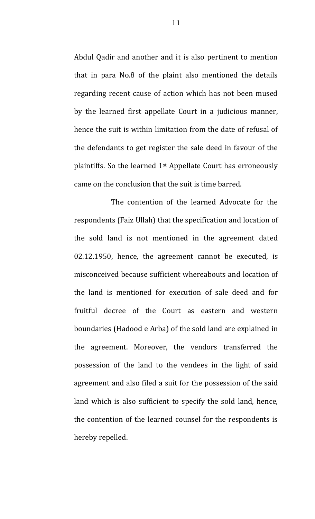Abdul Qadir and another and it is also pertinent to mention that in para No.8 of the plaint also mentioned the details regarding recent cause of action which has not been mused by the learned first appellate Court in a judicious manner, hence the suit is within limitation from the date of refusal of the defendants to get register the sale deed in favour of the plaintiffs. So the learned 1st Appellate Court has erroneously came on the conclusion that the suit is time barred.

The contention of the learned Advocate for the respondents (Faiz Ullah) that the specification and location of the sold land is not mentioned in the agreement dated 02.12.1950, hence, the agreement cannot be executed, is misconceived because sufficient whereabouts and location of the land is mentioned for execution of sale deed and for fruitful decree of the Court as eastern and western boundaries (Hadood e Arba) of the sold land are explained in the agreement. Moreover, the vendors transferred the possession of the land to the vendees in the light of said agreement and also filed a suit for the possession of the said land which is also sufficient to specify the sold land, hence, the contention of the learned counsel for the respondents is hereby repelled.